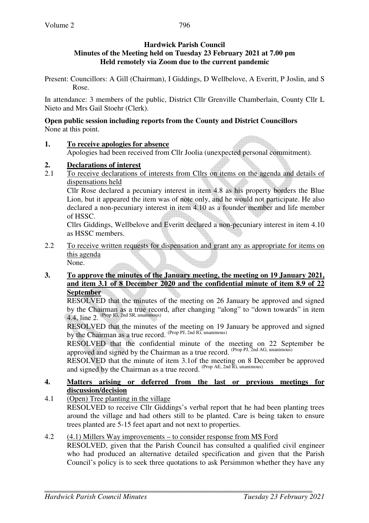#### **Hardwick Parish Council Minutes of the Meeting held on Tuesday 23 February 2021 at 7.00 pm Held remotely via Zoom due to the current pandemic**

Present: Councillors: A Gill (Chairman), I Giddings, D Wellbelove, A Everitt, P Joslin, and S Rose.

In attendance: 3 members of the public, District Cllr Grenville Chamberlain, County Cllr L Nieto and Mrs Gail Stoehr (Clerk).

#### **Open public session including reports from the County and District Councillors**  None at this point.

- **1. To receive apologies for absence** Apologies had been received from Cllr Joolia (unexpected personal commitment).
- **2. Declarations of interest**
- 2.1 To receive declarations of interests from Cllrs on items on the agenda and details of dispensations held

Cllr Rose declared a pecuniary interest in item 4.8 as his property borders the Blue Lion, but it appeared the item was of note only, and he would not participate. He also declared a non-pecuniary interest in item 4.10 as a founder member and life member of HSSC.

Cllrs Giddings, Wellbelove and Everitt declared a non-pecuniary interest in item 4.10 as HSSC members.

- 2.2 To receive written requests for dispensation and grant any as appropriate for items on this agenda None.
- **3. To approve the minutes of the January meeting, the meeting on 19 January 2021, and item 3.1 of 8 December 2020 and the confidential minute of item 8.9 of 22 September**

RESOLVED that the minutes of the meeting on 26 January be approved and signed by the Chairman as a true record, after changing "along" to "down towards" in item  $4.4$ , line 2. (Prop IG, 2nd SR, unanimous)

RESOLVED that the minutes of the meeting on 19 January be approved and signed by the Chairman as a true record. (Prop PJ, 2nd IG, unanimous)

RESOLVED that the confidential minute of the meeting on 22 September be approved and signed by the Chairman as a true record.  $^{(Prop \, PJ, 2nd \, AG, unanimous)}$ 

RESOLVED that the minute of item 3.1of the meeting on 8 December be approved and signed by the Chairman as a true record.  $(Prop AE, 2nd\bar{G}, unanimous)$ 

#### **4. Matters arising or deferred from the last or previous meetings for discussion/decision**

4.1 (Open) Tree planting in the village

RESOLVED to receive Cllr Giddings's verbal report that he had been planting trees around the village and had others still to be planted. Care is being taken to ensure trees planted are 5-15 feet apart and not next to properties.

## 4.2 (4.1) Millers Way improvements – to consider response from MS Ford

RESOLVED, given that the Parish Council has consulted a qualified civil engineer who had produced an alternative detailed specification and given that the Parish Council's policy is to seek three quotations to ask Persimmon whether they have any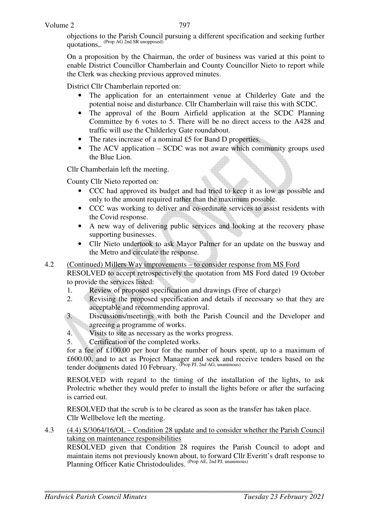objections to the Parish Council pursuing a different specification and seeking further quotations..<sup>(Prop AG 2nd SR unopposed)</sup>

On a proposition by the Chairman, the order of business was varied at this point to enable District Councillor Chamberlain and County Councillor Nieto to report while the Clerk was checking previous approved minutes.

District Cllr Chamberlain reported on:

- The application for an entertainment venue at Childerley Gate and the potential noise and disturbance. Cllr Chamberlain will raise this with SCDC.
- The approval of the Bourn Airfield application at the SCDC Planning Committee by 6 votes to 5. There will be no direct access to the A428 and traffic will use the Childerley Gate roundabout.
- The rates increase of a nominal £5 for Band D properties.
- The ACV application SCDC was not aware which community groups used the Blue Lion.

Cllr Chamberlain left the meeting.

County Cllr Nieto reported on:

- CCC had approved its budget and had tried to keep it as low as possible and only to the amount required rather than the maximum possible.
- CCC was working to deliver and co-ordinate services to assist residents with the Covid response.
- A new way of delivering public services and looking at the recovery phase supporting businesses.
- Cllr Nieto undertook to ask Mayor Palmer for an update on the busway and the Metro and circulate the response.

#### 4.2 (Continued) Millers Way improvements – to consider response from MS Ford

RESOLVED to accept retrospectively the quotation from MS Ford dated 19 October to provide the services listed:

- 1. Review of proposed specification and drawings (Free of charge)
- 2. Revising the proposed specification and details if necessary so that they are acceptable and recommending approval.

3. Discussions/meetings with both the Parish Council and the Developer and agreeing a programme of works.

- 4. Visits to site as necessary as the works progress.
- 5. Certification of the completed works.

for a fee of £100.00 per hour for the number of hours spent, up to a maximum of £600.00, and to act as Project Manager and seek and receive tenders based on the tender documents dated 10 February. (Prop PJ, 2nd AG, unanimous)

RESOLVED with regard to the timing of the installation of the lights, to ask Prolectric whether they would prefer to install the lights before or after the surfacing is carried out.

RESOLVED that the scrub is to be cleared as soon as the transfer has taken place. Cllr Wellbelove left the meeting.

4.3 (4.4) S/3064/16/OL – Condition 28 update and to consider whether the Parish Council taking on maintenance responsibilities

RESOLVED given that Condition 28 requires the Parish Council to adopt and maintain items not previously known about, to forward Cllr Everitt's draft response to Planning Officer Katie Christodoulides. (Prop AE, 2nd PJ, unanimous)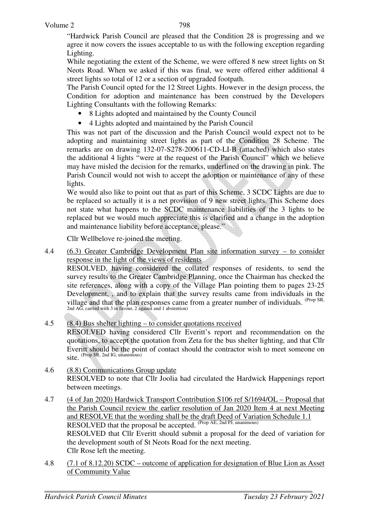"Hardwick Parish Council are pleased that the Condition 28 is progressing and we agree it now covers the issues acceptable to us with the following exception regarding Lighting.

While negotiating the extent of the Scheme, we were offered 8 new street lights on St Neots Road. When we asked if this was final, we were offered either additional 4 street lights so total of 12 or a section of upgraded footpath.

The Parish Council opted for the 12 Street Lights. However in the design process, the Condition for adoption and maintenance has been construed by the Developers Lighting Consultants with the following Remarks:

- 8 Lights adopted and maintained by the County Council
- 4 Lights adopted and maintained by the Parish Council

This was not part of the discussion and the Parish Council would expect not to be adopting and maintaining street lights as part of the Condition 28 Scheme. The remarks are on drawing 132-07-S278-200611-CD-LI-B (attached) which also states the additional 4 lights "were at the request of the Parish Council" which we believe may have misled the decision for the remarks, underlined on the drawing in pink. The Parish Council would not wish to accept the adoption or maintenance of any of these lights.

We would also like to point out that as part of this Scheme, 3 SCDC Lights are due to be replaced so actually it is a net provision of 9 new street lights. This Scheme does not state what happens to the SCDC maintenance liabilities of the 3 lights to be replaced but we would much appreciate this is clarified and a change in the adoption and maintenance liability before acceptance, please."

Cllr Wellbelove re-joined the meeting.

4.4 (6.3) Greater Cambridge Development Plan site information survey – to consider response in the light of the views of residents

RESOLVED, having considered the collated responses of residents, to send the survey results to the Greater Cambridge Planning, once the Chairman has checked the site references, along with a copy of the Village Plan pointing them to pages 23-25 Development, , and to explain that the survey results came from individuals in the village and that the plan responses came from a greater number of individuals. <sup>(Prop SR,</sup> 2nd AG, carried with 3 in favour, 2 against and 1 abstention)

#### 4.5 (8.4) Bus shelter lighting – to consider quotations received RESOLVED having considered Cllr Everitt's report and recommendation on the quotations, to accept the quotation from Zeta for the bus shelter lighting, and that Cllr Everitt should be the point of contact should the contractor wish to meet someone on site. (Prop SR, 2nd IG, unanimous)

- 4.6 (8.8) Communications Group update RESOLVED to note that Cllr Joolia had circulated the Hardwick Happenings report between meetings.
- 4.7 (4 of Jan 2020) Hardwick Transport Contribution S106 ref S/1694/OL Proposal that the Parish Council review the earlier resolution of Jan 2020 Item 4 at next Meeting and RESOLVE that the wording shall be the draft Deed of Variation Schedule 1.1 RESOLVED that the proposal be accepted. (Prop AE, 2nd PJ, unanimous) RESOLVED that Cllr Everitt should submit a proposal for the deed of variation for the development south of St Neots Road for the next meeting. Cllr Rose left the meeting.
- 4.8 (7.1 of 8.12.20) SCDC outcome of application for designation of Blue Lion as Asset of Community Value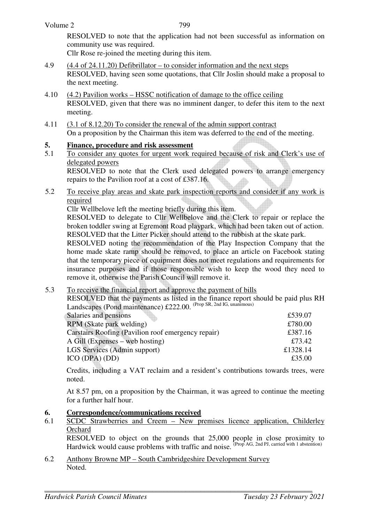799

RESOLVED to note that the application had not been successful as information on community use was required.

Cllr Rose re-joined the meeting during this item.

- 4.9 (4.4 of 24.11.20) Defibrillator to consider information and the next steps RESOLVED, having seen some quotations, that Cllr Joslin should make a proposal to the next meeting.
- 4.10 (4.2) Pavilion works HSSC notification of damage to the office ceiling RESOLVED, given that there was no imminent danger, to defer this item to the next meeting.
- 4.11 (3.1 of 8.12.20) To consider the renewal of the admin support contract On a proposition by the Chairman this item was deferred to the end of the meeting.

# **5.** Finance, procedure and risk assessment<br>5.1 To consider any quotes for urgent work re

To consider any quotes for urgent work required because of risk and Clerk's use of delegated powers

RESOLVED to note that the Clerk used delegated powers to arrange emergency repairs to the Pavilion roof at a cost of £387.16.

5.2 To receive play areas and skate park inspection reports and consider if any work is required

Cllr Wellbelove left the meeting briefly during this item.

RESOLVED to delegate to Cllr Wellbelove and the Clerk to repair or replace the broken toddler swing at Egremont Road playpark, which had been taken out of action. RESOLVED that the Litter Picker should attend to the rubbish at the skate park.

RESOLVED noting the recommendation of the Play Inspection Company that the home made skate ramp should be removed, to place an article on Facebook stating that the temporary piece of equipment does not meet regulations and requirements for insurance purposes and if those responsible wish to keep the wood they need to remove it, otherwise the Parish Council will remove it.

## 5.3 To receive the financial report and approve the payment of bills

RESOLVED that the payments as listed in the finance report should be paid plus RH Landscapes (Pond maintenance) £222.00. (Prop SR, 2nd IG, unanimous)

| Salaries and pensions                              | £539.07  |
|----------------------------------------------------|----------|
| RPM (Skate park welding)                           | £780.00  |
| Carstairs Roofing (Pavilion roof emergency repair) | £387.16  |
| $\overline{A}$ Gill (Expenses – web hosting)       | £73.42   |
| LGS Services (Admin support)                       | £1328.14 |
| ICO (DPA) (DD)                                     | £35.00   |

Credits, including a VAT reclaim and a resident's contributions towards trees, were noted.

 At 8.57 pm, on a proposition by the Chairman, it was agreed to continue the meeting for a further half hour.

## **6. Correspondence/communications received**

6.1 SCDC Strawberries and Creem – New premises licence application, Childerley **Orchard** 

 RESOLVED to object on the grounds that 25,000 people in close proximity to Hardwick would cause problems with traffic and noise. <sup>(Prop AG, 2nd PJ, carried with 1 abstention)</sup>

6.2 Anthony Browne MP – South Cambridgeshire Development Survey Noted.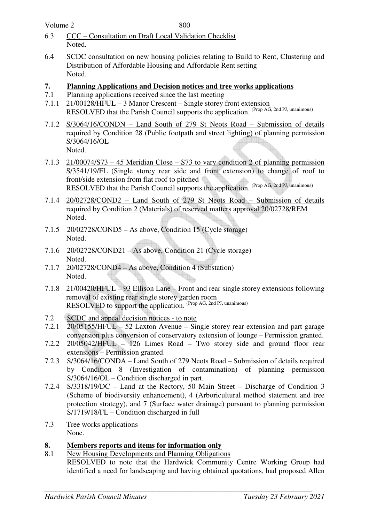Volume 2

- 6.3 CCC Consultation on Draft Local Validation Checklist Noted.
- 6.4 SCDC consultation on new housing policies relating to Build to Rent, Clustering and Distribution of Affordable Housing and Affordable Rent setting Noted.
- **7. Planning Applications and Decision notices and tree works applications**
- 7.1 Planning applications received since the last meeting
- 7.1.1 21/00128/HFUL 3 Manor Crescent Single storey front extension RESOLVED that the Parish Council supports the application. (Prop AG, 2nd PJ, unanimous)
- 7.1.2 S/3064/16/CONDN Land South of 279 St Neots Road Submission of details required by Condition 28 (Public footpath and street lighting) of planning permission S/3064/16/OL Noted.
- 7.1.3 21/00074/S73 45 Meridian Close S73 to vary condition 2 of planning permission S/3541/19/FL (Single storey rear side and front extension) to change of roof to front/side extension from flat roof to pitched RESOLVED that the Parish Council supports the application. (Prop AG, 2nd PJ, unanimous)
- 7.1.4 20/02728/COND2 Land South of 279 St Neots Road Submission of details required by Condition 2 (Materials) of reserved matters approval 20/02728/REM Noted.
- 7.1.5 20/02728/COND5 As above, Condition 15 (Cycle storage) Noted.
- 7.1.6 20/02728/COND21 As above, Condition 21 (Cycle storage) Noted.
- 7.1.7 20/02728/COND4 As above, Condition 4 (Substation) Noted.
- 7.1.8 21/00420/HFUL 93 Ellison Lane Front and rear single storey extensions following removal of existing rear single storey garden room RESOLVED to support the application. (Prop AG, 2nd PJ, unanimous)
- 7.2 SCDC and appeal decision notices to note
- 7.2.1 20/05155/HFUL 52 Laxton Avenue Single storey rear extension and part garage conversion plus conversion of conservatory extension of lounge – Permission granted.
- 7.2.2 20/05042/HFUL 126 Limes Road Two storey side and ground floor rear extensions – Permission granted.
- 7.2.3 S/3064/16/CONDA Land South of 279 Neots Road Submission of details required by Condition 8 (Investigation of contamination) of planning permission S/3064/16/OL – Condition discharged in part.
- 7.2.4 S/3318/19/DC Land at the Rectory, 50 Main Street Discharge of Condition 3 (Scheme of biodiversity enhancement), 4 (Arboricultural method statement and tree protection strategy), and 7 (Surface water drainage) pursuant to planning permission S/1719/18/FL – Condition discharged in full
- 7.3 Tree works applications None.

## **8. Members reports and items for information only**<br>**8.1** New Housing Developments and Planning Obligation

New Housing Developments and Planning Obligations RESOLVED to note that the Hardwick Community Centre Working Group had identified a need for landscaping and having obtained quotations, had proposed Allen